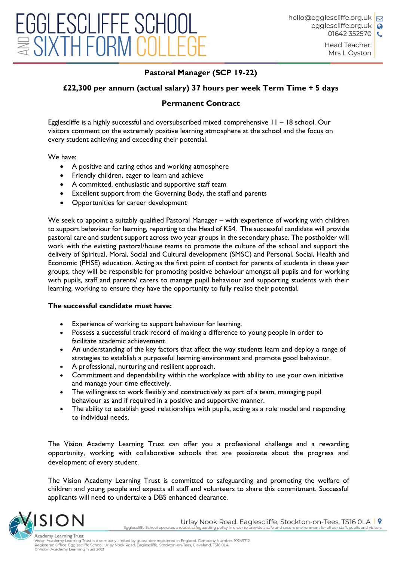Head Teacher: Mrs L Oyston

## **Pastoral Manager (SCP 19-22)**

## **£22,300 per annum (actual salary) 37 hours per week Term Time + 5 days**

## **Permanent Contract**

Egglescliffe is a highly successful and oversubscribed mixed comprehensive 11 – 18 school. Our visitors comment on the extremely positive learning atmosphere at the school and the focus on every student achieving and exceeding their potential.

We have:

- A positive and caring ethos and working atmosphere
- Friendly children, eager to learn and achieve
- A committed, enthusiastic and supportive staff team
- Excellent support from the Governing Body, the staff and parents
- Opportunities for career development

We seek to appoint a suitably qualified Pastoral Manager – with experience of working with children to support behaviour for learning, reporting to the Head of KS4. The successful candidate will provide pastoral care and student support across two year groups in the secondary phase. The postholder will work with the existing pastoral/house teams to promote the culture of the school and support the delivery of Spiritual, Moral, Social and Cultural development (SMSC) and Personal, Social, Health and Economic (PHSE) education. Acting as the first point of contact for parents of students in these year groups, they will be responsible for promoting positive behaviour amongst all pupils and for working with pupils, staff and parents/ carers to manage pupil behaviour and supporting students with their learning, working to ensure they have the opportunity to fully realise their potential.

## **The successful candidate must have:**

- Experience of working to support behaviour for learning.
- Possess a successful track record of making a difference to young people in order to facilitate academic achievement.
- An understanding of the key factors that affect the way students learn and deploy a range of strategies to establish a purposeful learning environment and promote good behaviour.
- A professional, nurturing and resilient approach.
- Commitment and dependability within the workplace with ability to use your own initiative and manage your time effectively.
- The willingness to work flexibly and constructively as part of a team, managing pupil behaviour as and if required in a positive and supportive manner.
- The ability to establish good relationships with pupils, acting as a role model and responding to individual needs.

The Vision Academy Learning Trust can offer you a professional challenge and a rewarding opportunity, working with collaborative schools that are passionate about the progress and development of every student.

The Vision Academy Learning Trust is committed to safeguarding and promoting the welfare of children and young people and expects all staff and volunteers to share this commitment. Successful applicants will need to undertake a DBS enhanced clearance.



Urlay Nook Road, Eaglescliffe, Stockton-on-Tees, TS16 OLA | 9 Egglescliffe School operates a robust safeguarding policy in order to provide a safe and secure environment for all our staff, pupils and visitors